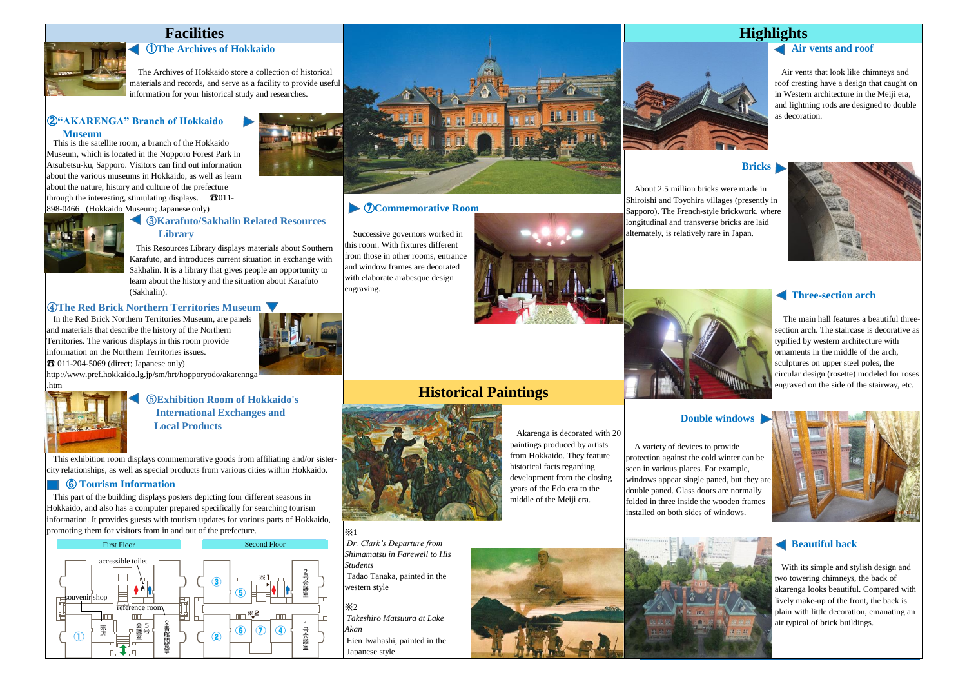### ①**The Archives of Hokkaido**

The Archives of Hokkaido store a collection of historical materials and records, and serve as a facility to provide useful information for your historical study and researches.

#### ②**"AKARENGA" Branch of Hokkaido Museum**

 This is the satellite room, a branch of the Hokkaido Museum, which is located in the Nopporo Forest Park in Atsubetsu-ku, Sapporo. Visitors can find out information about the various museums in Hokkaido, as well as learn about the nature, history and culture of the prefecture through the interesting, stimulating displays.  $\bullet$  3011-898-0466 (Hokkaido Museum; Japanese only)



#### ③**Karafuto/Sakhalin Related Resources Library**

 This Resources Library displays materials about Southern Karafuto, and introduces current situation in exchange with Sakhalin. It is a library that gives people an opportunity to learn about the history and the situation about Karafuto (Sakhalin).

#### ④**The Red Brick Northern Territories Museum**

 In the Red Brick Northern Territories Museum, are panels and materials that describe the history of the Northern Territories. The various displays in this room provide information on the Northern Territories issues.  $\mathbf{\hat{B}}$  011-204-5069 (direct; Japanese only)



http://www.pref.hokkaido.lg.jp/sm/hrt/hopporyodo/akarennga .htm



⑤**Exhibition Room of Hokkaido's International Exchanges and Local Products**

 This exhibition room displays commemorative goods from affiliating and/or sistercity relationships, as well as special products from various cities within Hokkaido.

#### ⑥ **Tourism Information**

 This part of the building displays posters depicting four different seasons in Hokkaido, and also has a computer prepared specifically for searching tourism information. It provides guests with tourism updates for various parts of Hokkaido, promoting them for visitors from in and out of the prefecture.





#### ⑦**Commemorative Room**

Successive governors worked in this room. With fixtures different from those in other rooms, entrance and window frames are decorated with elaborate arabesque design engraving.



#### **Bricks**

About 2.5 million bricks were made in Shiroishi and Toyohira villages (presently in Sapporo). The French-style brickwork, where longitudinal and transverse bricks are laid alternately, is relatively rare in Japan.



#### **Three-section arch**



**Double windows**

The main hall features a beautiful threesection arch. The staircase is decorative as typified by western architecture with ornaments in the middle of the arch, sculptures on upper steel poles, the circular design (rosette) modeled for roses engraved on the side of the stairway, etc.

## **Historical Paintings**



※2

*Students*

western style

*Akan*

Japanese style

*Takeshiro Matsuura at Lake*

*Dr. Clark's Departure from Shimamatsu in Farewell to His*

Tadao Tanaka, painted in the

Eien Iwahashi, painted in the

 Akarenga is decorated with 20 paintings produced by artists from Hokkaido. They feature historical facts regarding development from the closing years of the Edo era to the middle of the Meiji era.

#### A variety of devices to provide protection against the cold winter can be seen in various places. For example, windows appear single paned, but they are double paned. Glass doors are normally folded in three inside the wooden frames installed on both sides of windows.





#### **Beautiful back**

 With its simple and stylish design and two towering chimneys, the back of akarenga looks beautiful. Compared with lively make-up of the front, the back is plain with little decoration, emanating an air typical of brick buildings.

# **Air vents and roof**

 Air vents that look like chimneys and roof cresting have a design that caught on in Western architecture in the Meiji era, and lightning rods are designed to double as decoration.